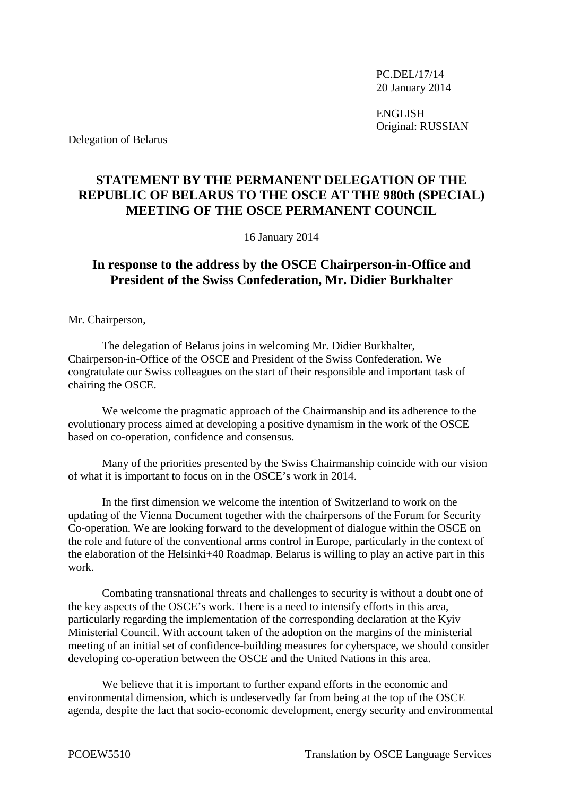PC.DEL/17/14 20 January 2014

ENGLISH Original: RUSSIAN

Delegation of Belarus

## **STATEMENT BY THE PERMANENT DELEGATION OF THE REPUBLIC OF BELARUS TO THE OSCE AT THE 980th (SPECIAL) MEETING OF THE OSCE PERMANENT COUNCIL**

16 January 2014

## **In response to the address by the OSCE Chairperson-in-Office and President of the Swiss Confederation, Mr. Didier Burkhalter**

Mr. Chairperson,

The delegation of Belarus joins in welcoming Mr. Didier Burkhalter, Chairperson-in-Office of the OSCE and President of the Swiss Confederation. We congratulate our Swiss colleagues on the start of their responsible and important task of chairing the OSCE.

We welcome the pragmatic approach of the Chairmanship and its adherence to the evolutionary process aimed at developing a positive dynamism in the work of the OSCE based on co-operation, confidence and consensus.

Many of the priorities presented by the Swiss Chairmanship coincide with our vision of what it is important to focus on in the OSCE's work in 2014.

In the first dimension we welcome the intention of Switzerland to work on the updating of the Vienna Document together with the chairpersons of the Forum for Security Co-operation. We are looking forward to the development of dialogue within the OSCE on the role and future of the conventional arms control in Europe, particularly in the context of the elaboration of the Helsinki+40 Roadmap. Belarus is willing to play an active part in this work.

Combating transnational threats and challenges to security is without a doubt one of the key aspects of the OSCE's work. There is a need to intensify efforts in this area, particularly regarding the implementation of the corresponding declaration at the Kyiv Ministerial Council. With account taken of the adoption on the margins of the ministerial meeting of an initial set of confidence-building measures for cyberspace, we should consider developing co-operation between the OSCE and the United Nations in this area.

We believe that it is important to further expand efforts in the economic and environmental dimension, which is undeservedly far from being at the top of the OSCE agenda, despite the fact that socio-economic development, energy security and environmental